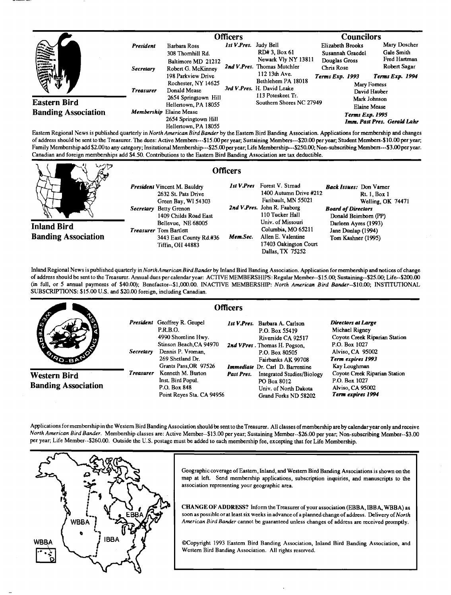|                                                                                                                                                                                                                                      |                  | <b>Officers</b>                                 |                                                     |                                                                                           | <b>Councilors</b>                                     |                              |
|--------------------------------------------------------------------------------------------------------------------------------------------------------------------------------------------------------------------------------------|------------------|-------------------------------------------------|-----------------------------------------------------|-------------------------------------------------------------------------------------------|-------------------------------------------------------|------------------------------|
| (の)                                                                                                                                                                                                                                  | <b>President</b> | Barbara Ross<br>308 Thornhill Rd.               | Ist V.Pres. Judy Bell                               | RD# 3, Box 61                                                                             | Elizabeth Brooks<br>Susannah Graedel                  | Mary Doscher<br>Gale Smith   |
|                                                                                                                                                                                                                                      | <b>Secretary</b> | Baltimore MD 21212<br>Robert G. McKinney        |                                                     | Newark Vly NY 13811<br>2nd V.Pres. Thomas Mutchler<br>112 13th Ave.<br>Bethlehem PA 18018 | Douglas Gross<br>Chris Rose                           | Fred Hartman<br>Robert Sagar |
|                                                                                                                                                                                                                                      |                  | 198 Parkview Drive                              |                                                     |                                                                                           | <b>Terms Exp. 1993</b>                                | Terms Exp. 1994              |
|                                                                                                                                                                                                                                      | <b>Treasurer</b> | Rochester, NY 14625<br>Donald Mease             |                                                     | 3rd V.Pres. H. David Leake                                                                |                                                       | Mary Forness<br>David Hauber |
| <b>Eastern Bird</b>                                                                                                                                                                                                                  |                  | 2654 Springtown Hill                            |                                                     | 113 Poteskeet Tr.<br>Southern Shores NC 27949                                             | Mark Johnson                                          |                              |
|                                                                                                                                                                                                                                      |                  | Hellertown, PA 18055                            |                                                     |                                                                                           | <b>Elaine Mease</b>                                   |                              |
| <b>Banding Association</b>                                                                                                                                                                                                           |                  | Membership Elaine Mease<br>2654 Springtown Hill |                                                     |                                                                                           | <b>Terms Exp. 1995</b><br>Imm. Past Pres. Gerald Lahr |                              |
| <b>P. C. P. LEWIS CO., LANSING CO., LANSING CO., LANSING CO., LANSING CO., LANSING CO., LANSING CO., LANSING CO., LANSING CO., LANSING CO., LANSING CO., LANSING CO., LANSING CO., LANSING CO., LANSING CO., LANSING CO., LANSIN</b> |                  | Hellertown, PA 18055                            | $\mathbf{1}$ $\mathbf{1}$ $\mathbf{1}$ $\mathbf{1}$ |                                                                                           |                                                       |                              |

**Eastem Regional News is published quarterly in North American Bird Bander by the Eastem Bird Banding Association. Applications for membership and changes**  of address should be sent to the Treasurer. The dues: Active Members---\$15.00 per year; Sustaining Members---\$20.00 per year; Student Members-\$10.00 per year; **Family Membership add \$2.00 to any category; Insitutional Membership---S25.00 peryear; Life Membership---S250.00: Non-subscribing Members---S3.00 per year.**  Canadian and foreign memberships add \$4.50. Contributions to the Eastern Bird Banding Association are tax deductible.

|                            | <b>Officers</b>                                                                                                                                                                             |          |                                                                                                                                                                                  |                                                                                                                                                                              |
|----------------------------|---------------------------------------------------------------------------------------------------------------------------------------------------------------------------------------------|----------|----------------------------------------------------------------------------------------------------------------------------------------------------------------------------------|------------------------------------------------------------------------------------------------------------------------------------------------------------------------------|
| <b>Inland Bird</b>         | <b>President Vincent M. Bauldry</b><br>2632 St. Pats Drive<br>Green Bay, WI 54303<br>Secretary Betty Grenon<br>1409 Childs Road East<br>Bellevue, NE 68005<br><b>Treasurer</b> Tom Bartlett |          | <b>Ist V.Pres</b> Forest V. Strnad<br>1400 Autumn Drive #212<br>Faribault, MN 55021<br>2nd V.Pres. John R. Faaborg<br>110 Tucker Hall<br>Univ. of Missouri<br>Columbia, MO 65211 | <b>Back Issues:</b> Don Vamer<br><b>Rt. 1, Box 1</b><br>Welling, OK 74471<br><b>Board of Directors</b><br>Donald Beimborn (PP)<br>Darleen Ayres (1993)<br>Jane Dunlap (1994) |
| <b>Banding Association</b> | 3443 East County Rd.#36<br><b>Tiffin, OH 44883</b>                                                                                                                                          | Mem.Sec. | Allen E. Valentine<br>17403 Oakington Court<br>Dallas, TX 75252                                                                                                                  | Tom Kashner (1995)                                                                                                                                                           |

**Inland Regional News is published quarterly in NorthAmerican Bird Bander by Inland Bird Banding Association. Application for membership and notices of change of address should be sent to the Treasurer. Annual dues per calendar year: ACTIVE MEMBERSHIPS: Regular Member--S15.00; Sustaining--S25.00; Life--S200.00 (in full, or 5 annual payments of \$40.00); Benefactor--S1,000.00. INACTIVE MEMBERSHIP: North American Bird Banter--S10.00; INSTITUTIONAL SUBSCRIPTIONS: \$15.00 U.S. and \$20.00 foreign, including Canadian.** 

|                                            | <b>Officers</b>  |                                                                                                                                                                     |            |                                                                                                                                                                                           |                                                                                                                                                 |
|--------------------------------------------|------------------|---------------------------------------------------------------------------------------------------------------------------------------------------------------------|------------|-------------------------------------------------------------------------------------------------------------------------------------------------------------------------------------------|-------------------------------------------------------------------------------------------------------------------------------------------------|
| <b>AND</b><br><b>SOLE</b>                  | <b>Secretary</b> | President Geoffrey R. Geupel<br><b>P.R.B.O.</b><br>4990 Shoreline Hwy.<br>Stinson Beach, CA 94970<br>Dennis P. Vroman.<br>269 Shetland Dr.<br>Grants Pass, OR 97526 |            | Ist V.Pres. Barbara A. Carlson<br>P.O. Box 55419<br>Riverside CA 92517<br>2nd VPres. Thomas H. Pogson,<br>P.O. Box 80505<br>Fairbanks AK 99708<br><b>Immediate</b> Dr. Carl D. Barrentine | Directors at Large<br>Michael Rigney<br>Coyote Creek Riparian Station<br>P.O. Box 1027<br>Alviso, CA 95002<br>Term expires 1993<br>Kay Loughman |
| Western Bird<br><b>Banding Association</b> | <b>Treasurer</b> | Kenneth M. Burton<br>Inst. Bird Popul.<br>P.O. Box 848<br>Point Reves Sta. CA 94956                                                                                 | Past Pres. | <b>Integrated Studies/Biology</b><br>PO Box 8012<br>Univ. of North Dakota<br>Grand Forks ND 58202                                                                                         | Coyote Creek Riparian Station<br>P.O. Box 1027<br>Alviso, CA 95002<br>Term expires 1994                                                         |

**Applications for membership in the Western Bird Banding Association should be sent to the Treasurer. All classes of membership areby calendar year only and receive North American Bird Bander. Membership classes are: Active Member--S13.00 per year; Sustaining Member--S26.00 per year; Non-subscribing Member--S3.00 per year; Life Member--S260.00. Outside the U.S. postage must be added to each membership fee, excepting that for Life Membership.** 



**Geographic coverage of Eastem, Inland, and Westem Bird Banding Associations is shown on the map at left. Send membership applications, subscription inquiries, and manuscripts tothe association representing your geographic area.** 

**CHANGE OF ADDRESS? Inform the Treasurer ofyour association (EBBA, IBBA, WBBA) as**  soon as possible or at least six weeks in advance of a planned change of address. Delivery of North **American Bird Bander cannot be guaranteed unless changes of address are received promptly.** 

**•SCopyright 1993 Eastem Bird Banding Association, Inland Bird Banding Association, and Western Bird Banding Association. All rights reserved.**